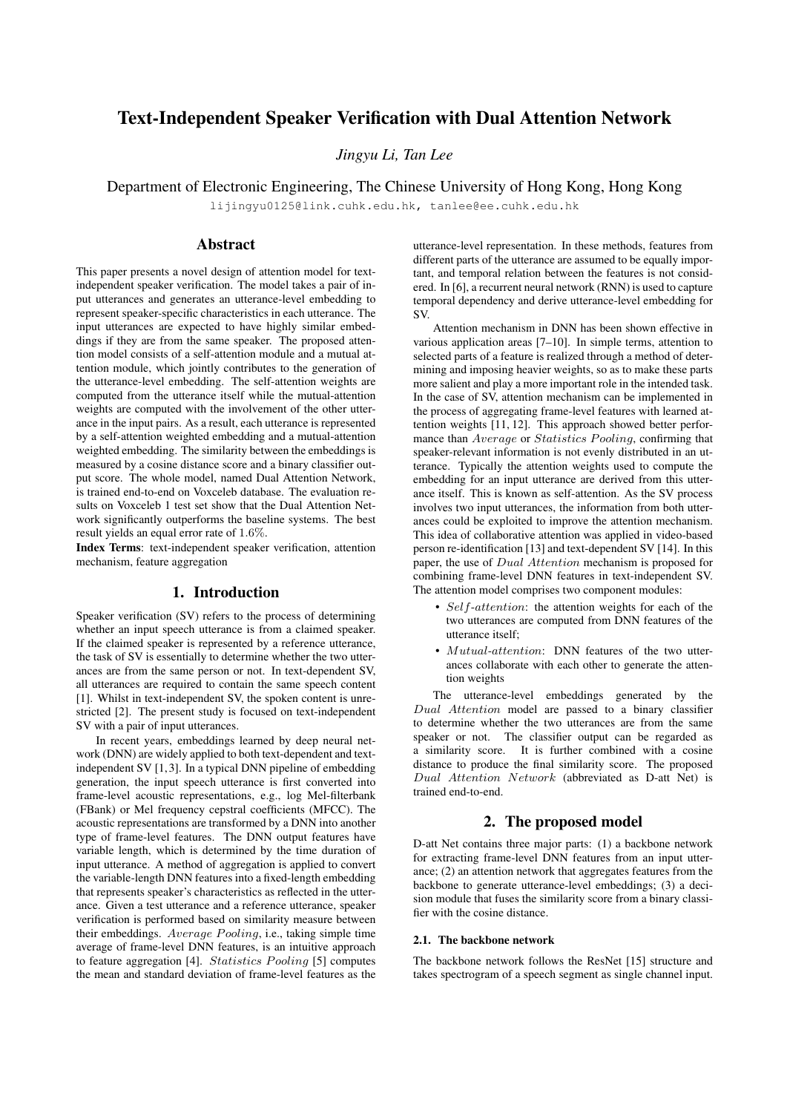# Text-Independent Speaker Verification with Dual Attention Network

*Jingyu Li, Tan Lee*

Department of Electronic Engineering, The Chinese University of Hong Kong, Hong Kong

lijingyu0125@link.cuhk.edu.hk, tanlee@ee.cuhk.edu.hk

# Abstract

This paper presents a novel design of attention model for textindependent speaker verification. The model takes a pair of input utterances and generates an utterance-level embedding to represent speaker-specific characteristics in each utterance. The input utterances are expected to have highly similar embeddings if they are from the same speaker. The proposed attention model consists of a self-attention module and a mutual attention module, which jointly contributes to the generation of the utterance-level embedding. The self-attention weights are computed from the utterance itself while the mutual-attention weights are computed with the involvement of the other utterance in the input pairs. As a result, each utterance is represented by a self-attention weighted embedding and a mutual-attention weighted embedding. The similarity between the embeddings is measured by a cosine distance score and a binary classifier output score. The whole model, named Dual Attention Network, is trained end-to-end on Voxceleb database. The evaluation results on Voxceleb 1 test set show that the Dual Attention Network significantly outperforms the baseline systems. The best result yields an equal error rate of 1.6%.

Index Terms: text-independent speaker verification, attention mechanism, feature aggregation

# 1. Introduction

Speaker verification (SV) refers to the process of determining whether an input speech utterance is from a claimed speaker. If the claimed speaker is represented by a reference utterance, the task of SV is essentially to determine whether the two utterances are from the same person or not. In text-dependent SV, all utterances are required to contain the same speech content [1]. Whilst in text-independent SV, the spoken content is unrestricted [2]. The present study is focused on text-independent SV with a pair of input utterances.

In recent years, embeddings learned by deep neural network (DNN) are widely applied to both text-dependent and textindependent SV [1, 3]. In a typical DNN pipeline of embedding generation, the input speech utterance is first converted into frame-level acoustic representations, e.g., log Mel-filterbank (FBank) or Mel frequency cepstral coefficients (MFCC). The acoustic representations are transformed by a DNN into another type of frame-level features. The DNN output features have variable length, which is determined by the time duration of input utterance. A method of aggregation is applied to convert the variable-length DNN features into a fixed-length embedding that represents speaker's characteristics as reflected in the utterance. Given a test utterance and a reference utterance, speaker verification is performed based on similarity measure between their embeddings. Average Pooling, i.e., taking simple time average of frame-level DNN features, is an intuitive approach to feature aggregation [4]. Statistics  $Pooling$  [5] computes the mean and standard deviation of frame-level features as the

utterance-level representation. In these methods, features from different parts of the utterance are assumed to be equally important, and temporal relation between the features is not considered. In [6], a recurrent neural network (RNN) is used to capture temporal dependency and derive utterance-level embedding for SV.

Attention mechanism in DNN has been shown effective in various application areas [7–10]. In simple terms, attention to selected parts of a feature is realized through a method of determining and imposing heavier weights, so as to make these parts more salient and play a more important role in the intended task. In the case of SV, attention mechanism can be implemented in the process of aggregating frame-level features with learned attention weights [11, 12]. This approach showed better performance than *Average* or *Statistics Pooling*, confirming that speaker-relevant information is not evenly distributed in an utterance. Typically the attention weights used to compute the embedding for an input utterance are derived from this utterance itself. This is known as self-attention. As the SV process involves two input utterances, the information from both utterances could be exploited to improve the attention mechanism. This idea of collaborative attention was applied in video-based person re-identification [13] and text-dependent SV [14]. In this paper, the use of Dual Attention mechanism is proposed for combining frame-level DNN features in text-independent SV. The attention model comprises two component modules:

- Self-attention: the attention weights for each of the two utterances are computed from DNN features of the utterance itself;
- Mutual-attention: DNN features of the two utterances collaborate with each other to generate the attention weights

The utterance-level embeddings generated by the Dual Attention model are passed to a binary classifier to determine whether the two utterances are from the same speaker or not. The classifier output can be regarded as a similarity score. It is further combined with a cosine distance to produce the final similarity score. The proposed Dual Attention Network (abbreviated as D-att Net) is trained end-to-end.

# 2. The proposed model

D-att Net contains three major parts: (1) a backbone network for extracting frame-level DNN features from an input utterance; (2) an attention network that aggregates features from the backbone to generate utterance-level embeddings; (3) a decision module that fuses the similarity score from a binary classifier with the cosine distance.

#### 2.1. The backbone network

The backbone network follows the ResNet [15] structure and takes spectrogram of a speech segment as single channel input.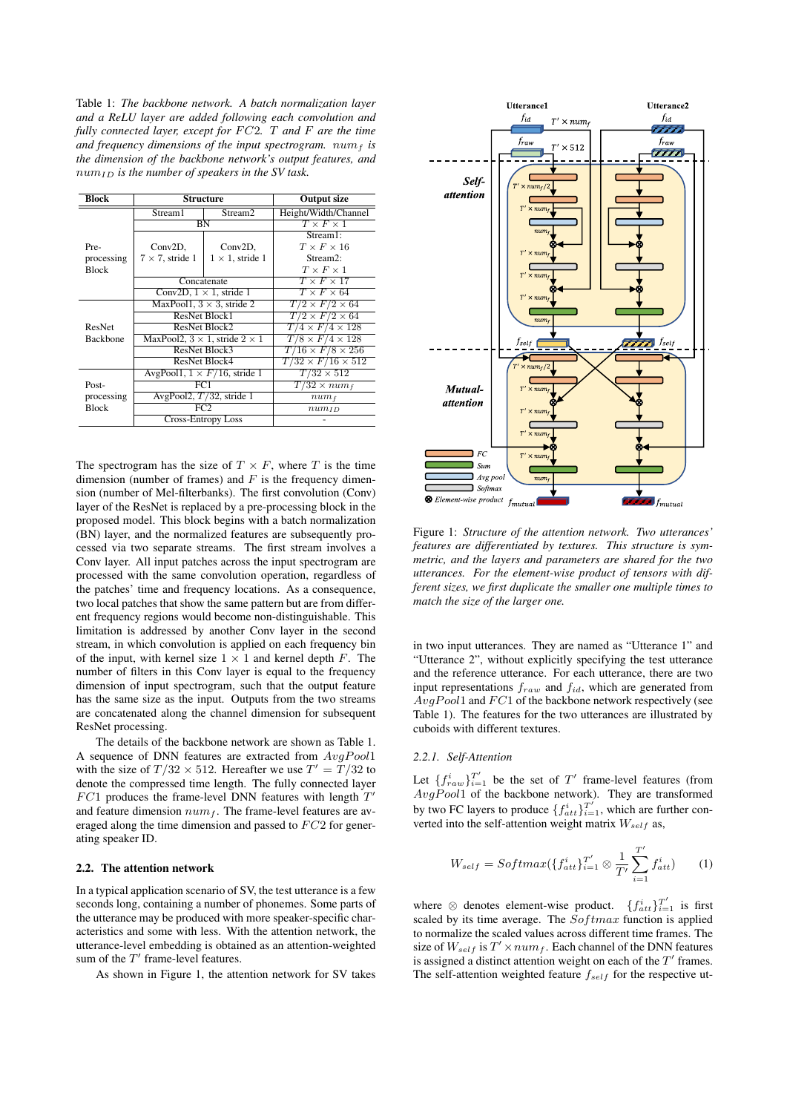Table 1: *The backbone network. A batch normalization layer and a ReLU layer are added following each convolution and fully connected layer, except for*  $FC2$ *. T and F are the time* and frequency dimensions of the input spectrogram.  $num_f$  is *the dimension of the backbone network's output features, and*  $num_{ID}$  *is the number of speakers in the SV task.* 

| <b>Block</b>    | <b>Structure</b>                             |                         | <b>Output size</b>             |
|-----------------|----------------------------------------------|-------------------------|--------------------------------|
|                 | Stream1                                      | Stream <sub>2</sub>     | Height/Width/Channel           |
|                 | <b>BN</b>                                    |                         | $T \times F \times 1$          |
|                 |                                              |                         | Stream1:                       |
| Pre-            | $Conv2D$ ,                                   | Conv2D,                 | $T \times F \times 16$         |
| processing      | $7 \times 7$ , stride 1                      | $1 \times 1$ , stride 1 | Stream <sub>2</sub> :          |
| <b>Block</b>    |                                              |                         | $T \times F \times 1$          |
|                 | Concatenate                                  |                         | $T \times F \times 17$         |
|                 | Conv2D, $1 \times 1$ , stride 1              |                         | $T \times F \times 64$         |
|                 | MaxPool1, $3 \times 3$ , stride 2            |                         | $T/2 \times F/2 \times 64$     |
|                 | ResNet Block1                                |                         | $T/2 \times F/2 \times 64$     |
| <b>ResNet</b>   | ResNet Block2                                |                         | $T/4 \times F/4 \times 128$    |
| <b>Backbone</b> | MaxPool2, $3 \times 1$ , stride $2 \times 1$ |                         | $T/8 \times F/4 \times 128$    |
|                 | ResNet Block3                                |                         | $T/16 \times F/8 \times 256$   |
|                 | ResNet Block4                                |                         | $T/32 \times F/16 \times 512$  |
|                 | AvgPool1, $1 \times F/16$ , stride 1         |                         | $T/32 \times 512$              |
| Post-           |                                              | FC1                     | $\overline{T}/32 \times num_f$ |
| processing      | AvgPool2, $T/32$ , stride 1                  |                         | $num_f$                        |
| <b>Block</b>    | FC <sub>2</sub>                              |                         | $num_{ID}$                     |
|                 | Cross-Entropy Loss                           |                         |                                |

The spectrogram has the size of  $T \times F$ , where T is the time dimension (number of frames) and  $F$  is the frequency dimension (number of Mel-filterbanks). The first convolution (Conv) layer of the ResNet is replaced by a pre-processing block in the proposed model. This block begins with a batch normalization (BN) layer, and the normalized features are subsequently processed via two separate streams. The first stream involves a Conv layer. All input patches across the input spectrogram are processed with the same convolution operation, regardless of the patches' time and frequency locations. As a consequence, two local patches that show the same pattern but are from different frequency regions would become non-distinguishable. This limitation is addressed by another Conv layer in the second stream, in which convolution is applied on each frequency bin of the input, with kernel size  $1 \times 1$  and kernel depth F. The number of filters in this Conv layer is equal to the frequency dimension of input spectrogram, such that the output feature has the same size as the input. Outputs from the two streams are concatenated along the channel dimension for subsequent ResNet processing.

The details of the backbone network are shown as Table 1. A sequence of DNN features are extracted from  $AvgPool1$ with the size of  $T/32 \times 512$ . Hereafter we use  $T' = T/32$  to denote the compressed time length. The fully connected layer  $FC1$  produces the frame-level DNN features with length  $T'$ and feature dimension  $num_f$ . The frame-level features are averaged along the time dimension and passed to  $FC2$  for generating speaker ID.

# 2.2. The attention network

In a typical application scenario of SV, the test utterance is a few seconds long, containing a number of phonemes. Some parts of the utterance may be produced with more speaker-specific characteristics and some with less. With the attention network, the utterance-level embedding is obtained as an attention-weighted sum of the  $T'$  frame-level features.

As shown in Figure 1, the attention network for SV takes



Figure 1: *Structure of the attention network. Two utterances' features are differentiated by textures. This structure is symmetric, and the layers and parameters are shared for the two utterances. For the element-wise product of tensors with different sizes, we first duplicate the smaller one multiple times to match the size of the larger one.*

in two input utterances. They are named as "Utterance 1" and "Utterance 2", without explicitly specifying the test utterance and the reference utterance. For each utterance, there are two input representations  $f_{raw}$  and  $f_{id}$ , which are generated from  $AvgPool1$  and  $FC1$  of the backbone network respectively (see Table 1). The features for the two utterances are illustrated by cuboids with different textures.

#### *2.2.1. Self-Attention*

Let  $\{f_{raw}^i\}_{i=1}^{T'}$  be the set of  $T'$  frame-level features (from  $AvgPool1$  of the backbone network). They are transformed by two FC layers to produce  $\{f_{att}^i\}_{i=1}^{T'}$ , which are further converted into the self-attention weight matrix  $W_{self}$  as,

$$
W_{self} = Softmax(\{f_{att}^i\}_{i=1}^{T'} \otimes \frac{1}{T'} \sum_{i=1}^{T'} f_{att}^i)
$$
 (1)

where  $\otimes$  denotes element-wise product.  $\{f_{att}^{i}\}_{i=1}^{T'}$  is first scaled by its time average. The  $Softmax$  function is applied to normalize the scaled values across different time frames. The size of  $W_{self}$  is  $T' \times num_f$ . Each channel of the DNN features is assigned a distinct attention weight on each of the  $T'$  frames. The self-attention weighted feature  $f_{self}$  for the respective ut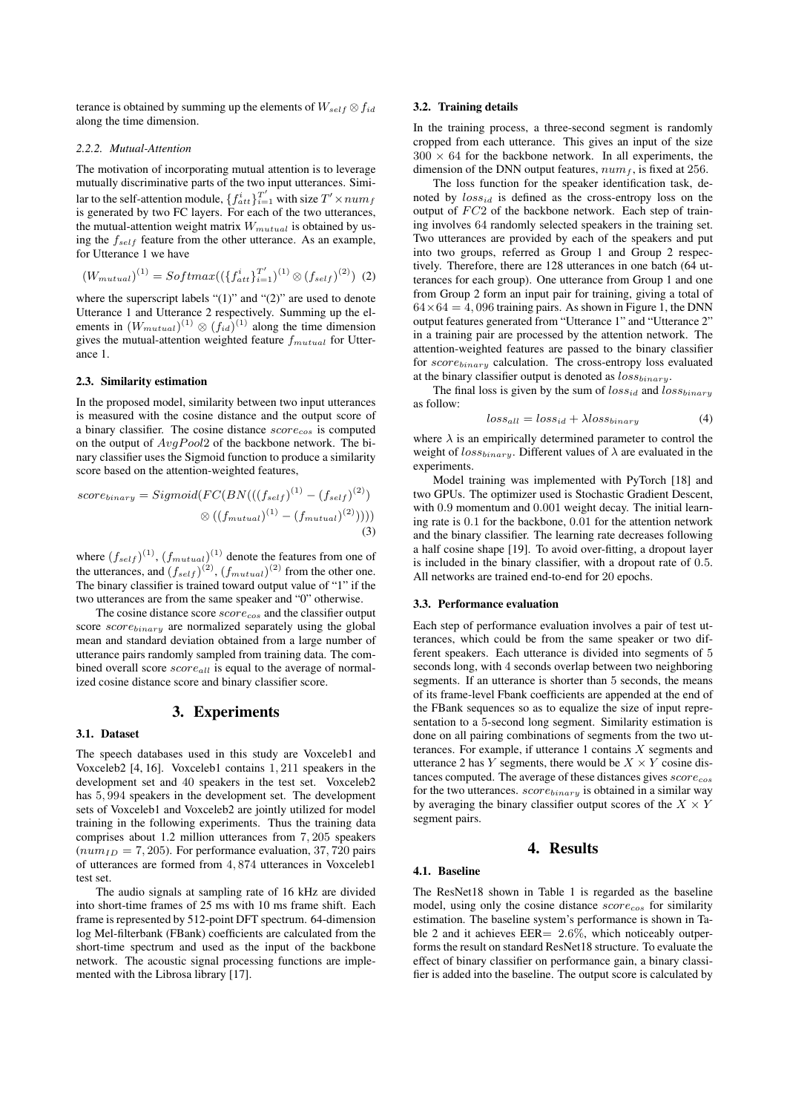terance is obtained by summing up the elements of  $W_{self} \otimes f_{id}$ along the time dimension.

#### *2.2.2. Mutual-Attention*

The motivation of incorporating mutual attention is to leverage mutually discriminative parts of the two input utterances. Similar to the self-attention module,  $\{f_{att}^i\}_{i=1}^{T'}$  with size  $T' \times num_f$ is generated by two FC layers. For each of the two utterances, the mutual-attention weight matrix  $W_{mutual}$  is obtained by using the  $f_{self}$  feature from the other utterance. As an example, for Utterance 1 we have

$$
(W_{mutual})^{(1)} = Softmax((\{f_{att}^i\}_{i=1}^{T'})^{(1)} \otimes (f_{self})^{(2)})
$$
 (2)

where the superscript labels " $(1)$ " and " $(2)$ " are used to denote Utterance 1 and Utterance 2 respectively. Summing up the elements in  $(W_{mutual})^{(1)} \otimes (f_{id})^{(1)}$  along the time dimension gives the mutual-attention weighted feature  $f_{mutual}$  for Utterance 1.

### 2.3. Similarity estimation

In the proposed model, similarity between two input utterances is measured with the cosine distance and the output score of a binary classifier. The cosine distance  $score_{cos}$  is computed on the output of  $AvgPool2$  of the backbone network. The binary classifier uses the Sigmoid function to produce a similarity score based on the attention-weighted features,

$$
score_{binary} = Sigmoid(FC(BN(((f_{self})^{(1)} - (f_{self})^{(2)}))
$$

$$
\otimes ((f_{mutual})^{(1)} - (f_{mutual})^{(2)}))))
$$

$$
(3)
$$

where  $(f_{self})^{(1)}$ ,  $(f_{mutual})^{(1)}$  denote the features from one of the utterances, and  $(f_{self})^{(2)}$ ,  $(f_{mutual})^{(2)}$  from the other one. The binary classifier is trained toward output value of "1" if the two utterances are from the same speaker and "0" otherwise.

The cosine distance score  $score_{cos}$  and the classifier output score  $score_{binary}$  are normalized separately using the global mean and standard deviation obtained from a large number of utterance pairs randomly sampled from training data. The combined overall score  $score_{all}$  is equal to the average of normalized cosine distance score and binary classifier score.

### 3. Experiments

#### 3.1. Dataset

The speech databases used in this study are Voxceleb1 and Voxceleb2 [4, 16]. Voxceleb1 contains 1, 211 speakers in the development set and 40 speakers in the test set. Voxceleb2 has 5, 994 speakers in the development set. The development sets of Voxceleb1 and Voxceleb2 are jointly utilized for model training in the following experiments. Thus the training data comprises about 1.2 million utterances from 7, 205 speakers  $(num_{ID} = 7, 205)$ . For performance evaluation, 37, 720 pairs of utterances are formed from 4, 874 utterances in Voxceleb1 test set.

The audio signals at sampling rate of 16 kHz are divided into short-time frames of 25 ms with 10 ms frame shift. Each frame is represented by 512-point DFT spectrum. 64-dimension log Mel-filterbank (FBank) coefficients are calculated from the short-time spectrum and used as the input of the backbone network. The acoustic signal processing functions are implemented with the Librosa library [17].

# 3.2. Training details

In the training process, a three-second segment is randomly cropped from each utterance. This gives an input of the size  $300 \times 64$  for the backbone network. In all experiments, the dimension of the DNN output features,  $num_f$ , is fixed at 256.

The loss function for the speaker identification task, denoted by  $loss_{id}$  is defined as the cross-entropy loss on the output of  $FC2$  of the backbone network. Each step of training involves 64 randomly selected speakers in the training set. Two utterances are provided by each of the speakers and put into two groups, referred as Group 1 and Group 2 respectively. Therefore, there are 128 utterances in one batch (64 utterances for each group). One utterance from Group 1 and one from Group 2 form an input pair for training, giving a total of  $64\times64 = 4,096$  training pairs. As shown in Figure 1, the DNN output features generated from "Utterance 1" and "Utterance 2" in a training pair are processed by the attention network. The attention-weighted features are passed to the binary classifier for  $score_{binary}$  calculation. The cross-entropy loss evaluated at the binary classifier output is denoted as  $loss_{binary}$ .

The final loss is given by the sum of  $loss_{id}$  and  $loss_{binary}$ as follow:

$$
loss_{all} = loss_{id} + \lambda loss_{binary}
$$
 (4)

where  $\lambda$  is an empirically determined parameter to control the weight of  $loss_{binary}$ . Different values of  $\lambda$  are evaluated in the experiments.

Model training was implemented with PyTorch [18] and two GPUs. The optimizer used is Stochastic Gradient Descent, with 0.9 momentum and 0.001 weight decay. The initial learning rate is 0.1 for the backbone, 0.01 for the attention network and the binary classifier. The learning rate decreases following a half cosine shape [19]. To avoid over-fitting, a dropout layer is included in the binary classifier, with a dropout rate of 0.5. All networks are trained end-to-end for 20 epochs.

### 3.3. Performance evaluation

Each step of performance evaluation involves a pair of test utterances, which could be from the same speaker or two different speakers. Each utterance is divided into segments of 5 seconds long, with 4 seconds overlap between two neighboring segments. If an utterance is shorter than 5 seconds, the means of its frame-level Fbank coefficients are appended at the end of the FBank sequences so as to equalize the size of input representation to a 5-second long segment. Similarity estimation is done on all pairing combinations of segments from the two utterances. For example, if utterance  $1$  contains  $X$  segments and utterance 2 has Y segments, there would be  $X \times Y$  cosine distances computed. The average of these distances gives  $score_{cos}$ for the two utterances.  $score_{binary}$  is obtained in a similar way by averaging the binary classifier output scores of the  $X \times Y$ segment pairs.

### 4. Results

#### 4.1. Baseline

The ResNet18 shown in Table 1 is regarded as the baseline model, using only the cosine distance  $score_{cos}$  for similarity estimation. The baseline system's performance is shown in Table 2 and it achieves  $EER = 2.6\%$ , which noticeably outperforms the result on standard ResNet18 structure. To evaluate the effect of binary classifier on performance gain, a binary classifier is added into the baseline. The output score is calculated by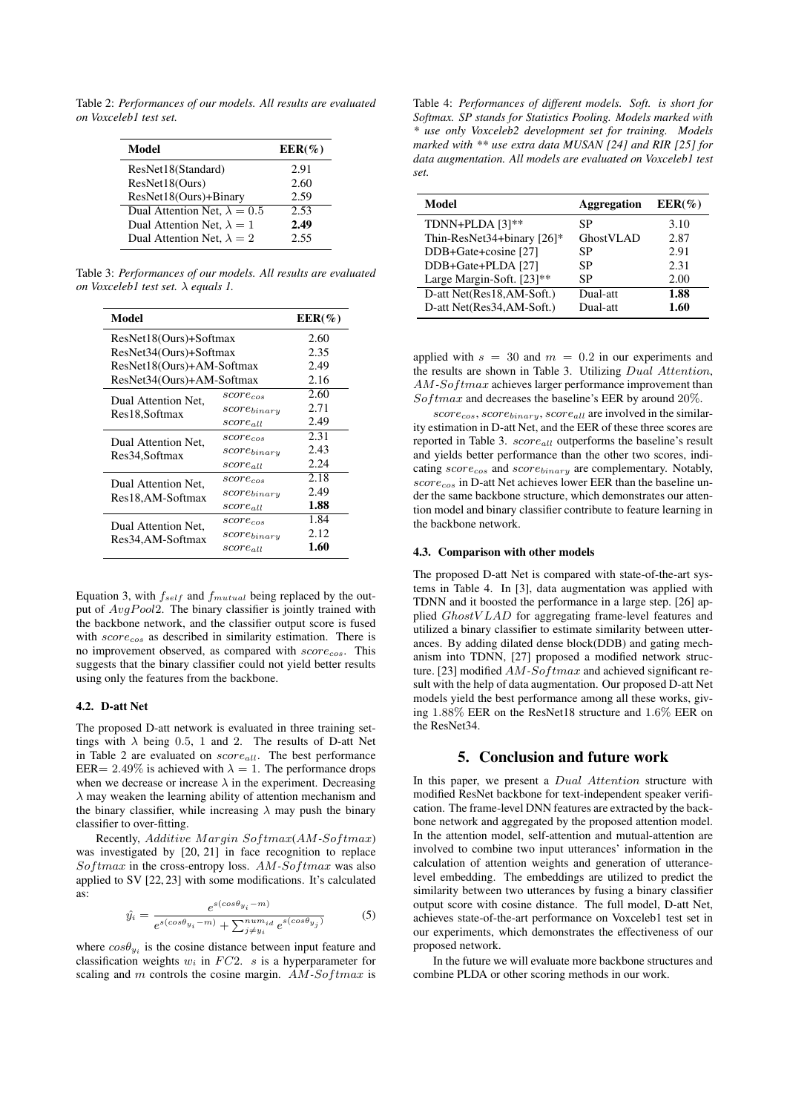Table 2: *Performances of our models. All results are evaluated on Voxceleb1 test set.*

| Model                               | $EER(\%)$ |
|-------------------------------------|-----------|
| ResNet18(Standard)                  | 2.91      |
| ResNet18(Ours)                      | 2.60      |
| ResNet18(Ours)+Binary               | 2.59      |
| Dual Attention Net, $\lambda = 0.5$ | 2.53      |
| Dual Attention Net, $\lambda = 1$   | 2.49      |
| Dual Attention Net, $\lambda = 2$   | 2.55      |

Table 3: *Performances of our models. All results are evaluated on Voxceleb1 test set.* λ *equals 1.*

| Model                     |                  | $EER(\%)$ |
|---------------------------|------------------|-----------|
| ResNet18(Ours)+Softmax    |                  | 2.60      |
| ResNet34(Ours)+Softmax    | 2.35             |           |
| ResNet18(Ours)+AM-Softmax | 2.49             |           |
| ResNet34(Ours)+AM-Softmax |                  | 2.16      |
| Dual Attention Net,       | $score_{cos}$    | 2.60      |
| Res18, Softmax            | $score_{binary}$ | 2.71      |
|                           | $score_{all}$    | 2.49      |
| Dual Attention Net,       | $score_{cos}$    | 2.31      |
| Res34, Softmax            | $score_{binary}$ | 2.43      |
|                           | $score_{all}$    | 2.24      |
| Dual Attention Net.       | $score_{cos}$    | 2.18      |
| Res18, AM-Softmax         | $score_{binary}$ | 2.49      |
|                           | $score_{all}$    | 1.88      |
| Dual Attention Net.       | $score_{cos}$    | 1.84      |
| Res34,AM-Softmax          | $score_{binary}$ | 2.12      |
|                           | $score_{all}$    | 1.60      |

Equation 3, with  $f_{self}$  and  $f_{mutual}$  being replaced by the output of  $AvgPool2$ . The binary classifier is jointly trained with the backbone network, and the classifier output score is fused with  $score_{cos}$  as described in similarity estimation. There is no improvement observed, as compared with score<sub>cos</sub>. This suggests that the binary classifier could not yield better results using only the features from the backbone.

#### 4.2. D-att Net

The proposed D-att network is evaluated in three training settings with  $\lambda$  being 0.5, 1 and 2. The results of D-att Net in Table 2 are evaluated on  $score_{all}$ . The best performance EER= 2.49% is achieved with  $\lambda = 1$ . The performance drops when we decrease or increase  $\lambda$  in the experiment. Decreasing  $\lambda$  may weaken the learning ability of attention mechanism and the binary classifier, while increasing  $\lambda$  may push the binary classifier to over-fitting.

Recently, *Additive Margin Softmax*(*AM-Softmax*) was investigated by [20, 21] in face recognition to replace Softmax in the cross-entropy loss. AM-Softmax was also applied to SV [22, 23] with some modifications. It's calculated as:

$$
\hat{y}_i = \frac{e^{s(cos\theta_{y_i} - m)}}{e^{s(cos\theta_{y_i} - m)} + \sum_{j \neq y_i}^{num_{id}} e^{s(cos\theta_{y_j})}}
$$
(5)

where  $cos\theta_{y_i}$  is the cosine distance between input feature and classification weights  $w_i$  in  $FC2$ . s is a hyperparameter for scaling and  $m$  controls the cosine margin.  $AM\text{-}Softmax$  is

Table 4: *Performances of different models. Soft. is short for Softmax. SP stands for Statistics Pooling. Models marked with \* use only Voxceleb2 development set for training. Models marked with \*\* use extra data MUSAN [24] and RIR [25] for data augmentation. All models are evaluated on Voxceleb1 test set.*

| Model                      | Aggregation | $EER(\%)$ |
|----------------------------|-------------|-----------|
| TDNN+PLDA [3]**            | SP          | 3.10      |
| Thin-ResNet34+binary [26]* | GhostVLAD   | 2.87      |
| DDB+Gate+cosine [27]       | SP          | 2.91      |
| DDB+Gate+PLDA [27]         | SP          | 2.31      |
| Large Margin-Soft. [23]**  | SP          | 2.00      |
| D-att Net(Res18,AM-Soft.)  | Dual-att    | 1.88      |
| D-att Net(Res34,AM-Soft.)  | Dual-att    | 1.60      |

applied with  $s = 30$  and  $m = 0.2$  in our experiments and the results are shown in Table 3. Utilizing Dual Attention, AM-Softmax achieves larger performance improvement than  $Softmax$  and decreases the baseline's EER by around 20%.

 $score_{cos}, score_{binary}, score_{all}$  are involved in the similarity estimation in D-att Net, and the EER of these three scores are reported in Table 3.  $score_{all}$  outperforms the baseline's result and yields better performance than the other two scores, indicating  $score_{cos}$  and  $score_{binary}$  are complementary. Notably,  $score_{cos}$  in D-att Net achieves lower EER than the baseline under the same backbone structure, which demonstrates our attention model and binary classifier contribute to feature learning in the backbone network.

#### 4.3. Comparison with other models

The proposed D-att Net is compared with state-of-the-art systems in Table 4. In [3], data augmentation was applied with TDNN and it boosted the performance in a large step. [26] applied GhostV LAD for aggregating frame-level features and utilized a binary classifier to estimate similarity between utterances. By adding dilated dense block(DDB) and gating mechanism into TDNN, [27] proposed a modified network structure. [23] modified AM-Softmax and achieved significant result with the help of data augmentation. Our proposed D-att Net models yield the best performance among all these works, giving 1.88% EER on the ResNet18 structure and 1.6% EER on the ResNet34.

# 5. Conclusion and future work

In this paper, we present a *Dual Attention* structure with modified ResNet backbone for text-independent speaker verification. The frame-level DNN features are extracted by the backbone network and aggregated by the proposed attention model. In the attention model, self-attention and mutual-attention are involved to combine two input utterances' information in the calculation of attention weights and generation of utterancelevel embedding. The embeddings are utilized to predict the similarity between two utterances by fusing a binary classifier output score with cosine distance. The full model, D-att Net, achieves state-of-the-art performance on Voxceleb1 test set in our experiments, which demonstrates the effectiveness of our proposed network.

In the future we will evaluate more backbone structures and combine PLDA or other scoring methods in our work.